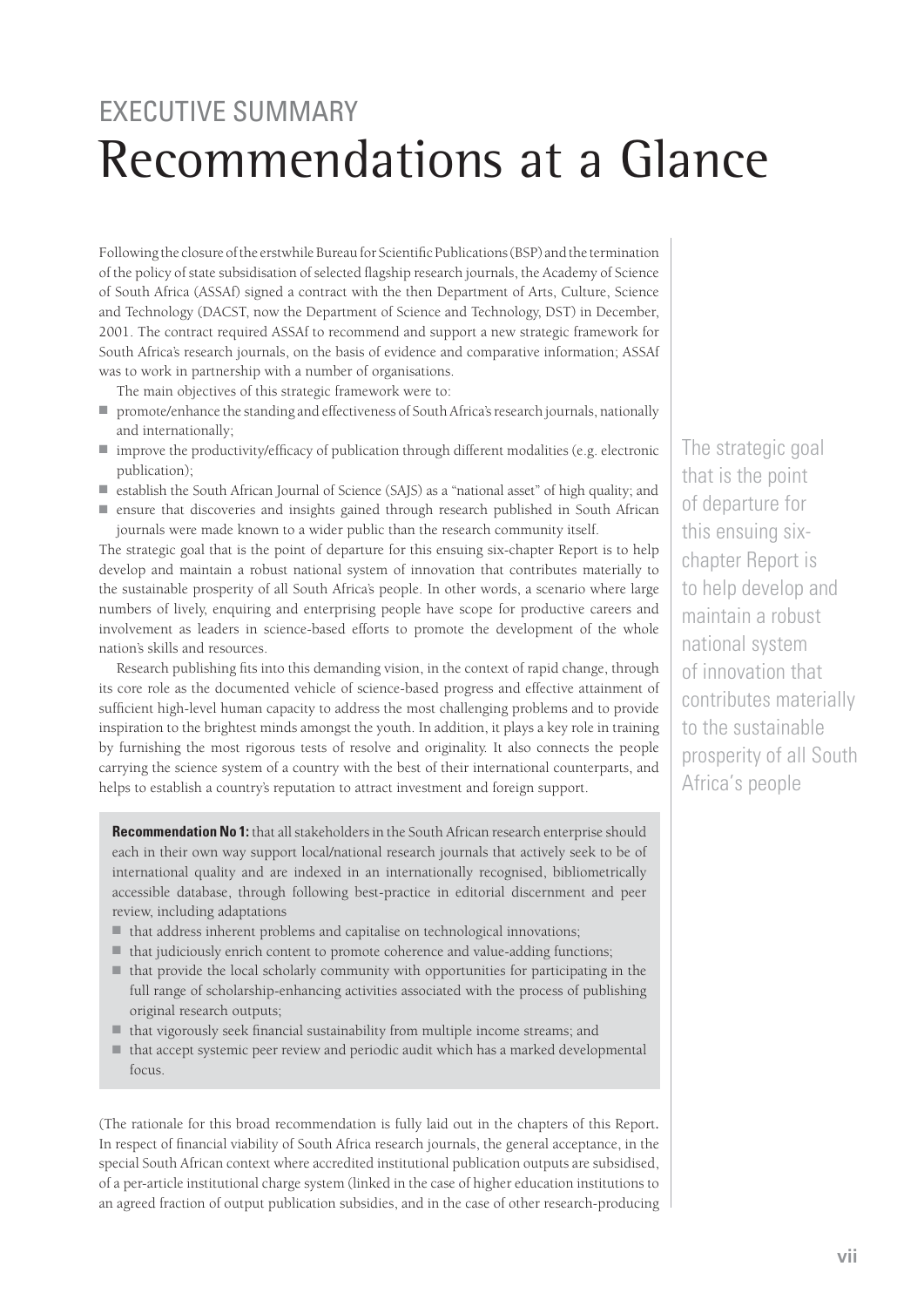## **EXECUTIVE SUMMARY** Recommendations at a Glance

Following the closure of the erstwhile Bureau for Scientific Publications (BSP) and the termination of the policy of state subsidisation of selected flagship research journals, the Academy of Science of South Africa (ASSAf) signed a contract with the then Department of Arts, Culture, Science and Technology (DACST, now the Department of Science and Technology, DST) in December, 2001. The contract required ASSAf to recommend and support a new strategic framework for South Africa's research journals, on the basis of evidence and comparative information; ASSAf was to work in partnership with a number of organisations.

The main objectives of this strategic framework were to:

- promote/enhance the standing and effectiveness of South Africa's research journals, nationally and internationally;
- improve the productivity/efficacy of publication through different modalities (e.g. electronic publication);
- establish the South African Journal of Science (SAJS) as a "national asset" of high quality; and
- ensure that discoveries and insights gained through research published in South African journals were made known to a wider public than the research community itself.

The strategic goal that is the point of departure for this ensuing six-chapter Report is to help develop and maintain a robust national system of innovation that contributes materially to the sustainable prosperity of all South Africa's people. In other words, a scenario where large numbers of lively, enquiring and enterprising people have scope for productive careers and involvement as leaders in science-based efforts to promote the development of the whole nation's skills and resources.

Research publishing fits into this demanding vision, in the context of rapid change, through its core role as the documented vehicle of science-based progress and effective attainment of sufficient high-level human capacity to address the most challenging problems and to provide inspiration to the brightest minds amongst the youth. In addition, it plays a key role in training by furnishing the most rigorous tests of resolve and originality. It also connects the people carrying the science system of a country with the best of their international counterparts, and helps to establish a country's reputation to attract investment and foreign support.

**Recommendation No 1:** that all stakeholders in the South African research enterprise should each in their own way support local/national research journals that actively seek to be of international quality and are indexed in an internationally recognised, bibliometrically accessible database, through following best-practice in editorial discernment and peer review, including adaptations

- that address inherent problems and capitalise on technological innovations;
- that judiciously enrich content to promote coherence and value-adding functions;
- that provide the local scholarly community with opportunities for participating in the full range of scholarship-enhancing activities associated with the process of publishing original research outputs;
- that vigorously seek financial sustainability from multiple income streams; and
- that accept systemic peer review and periodic audit which has a marked developmental focus.

(The rationale for this broad recommendation is fully laid out in the chapters of this Report**.**  In respect of financial viability of South Africa research journals, the general acceptance, in the special South African context where accredited institutional publication outputs are subsidised, of a per-article institutional charge system (linked in the case of higher education institutions to an agreed fraction of output publication subsidies, and in the case of other research-producing The strategic goal that is the point of departure for this ensuing sixchapter Report is to help develop and maintain a robust national system of innovation that contributes materially to the sustainable prosperity of all South Africa's people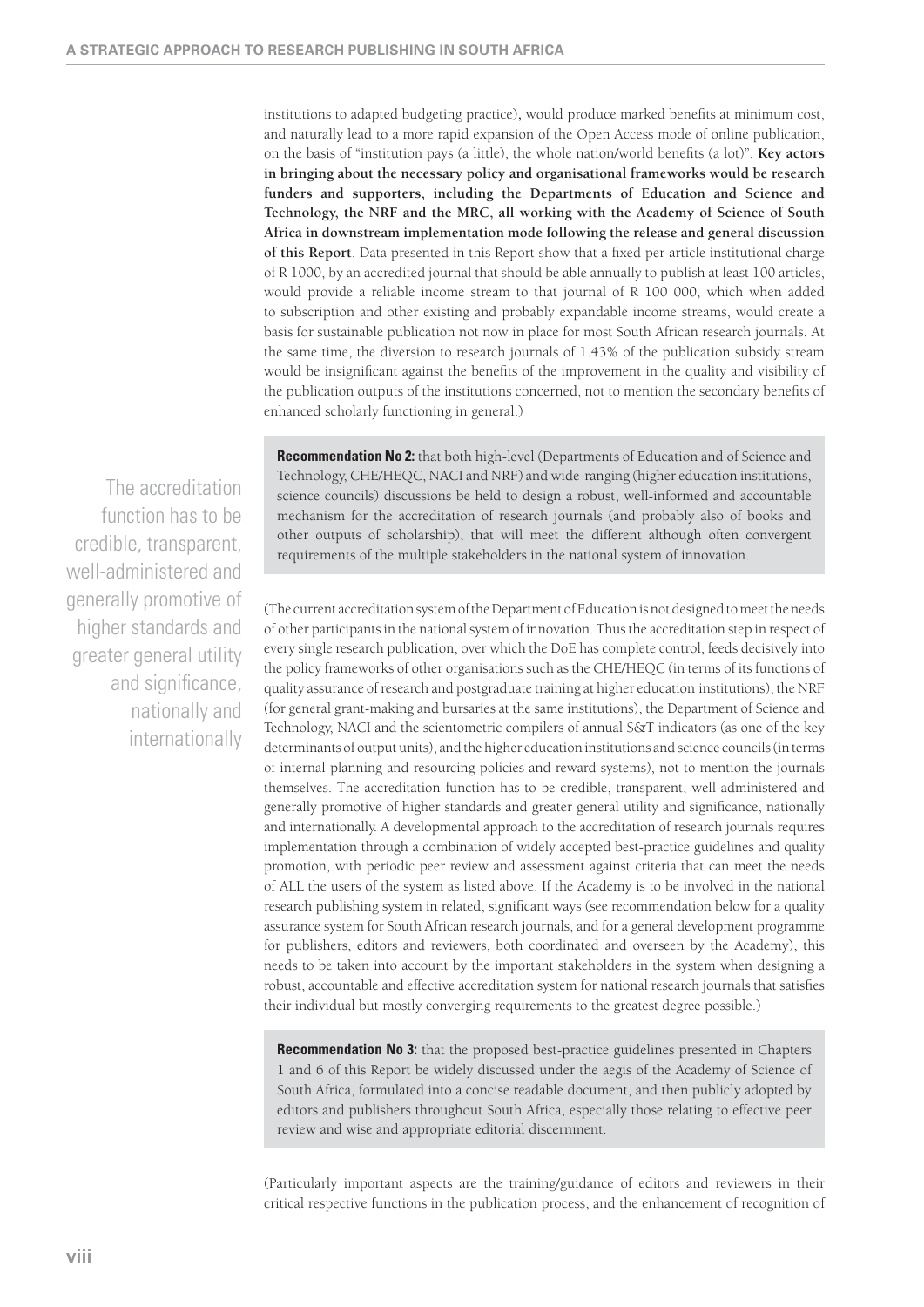institutions to adapted budgeting practice), would produce marked benefits at minimum cost, and naturally lead to a more rapid expansion of the Open Access mode of online publication, on the basis of "institution pays (a little), the whole nation/world benefits (a lot)". **Key actors in bringing about the necessary policy and organisational frameworks would be research funders and supporters, including the Departments of Education and Science and Technology, the NRF and the MRC, all working with the Academy of Science of South Africa in downstream implementation mode following the release and general discussion of this Report**. Data presented in this Report show that a fixed per-article institutional charge of R 1000, by an accredited journal that should be able annually to publish at least 100 articles, would provide a reliable income stream to that journal of R 100 000, which when added to subscription and other existing and probably expandable income streams, would create a basis for sustainable publication not now in place for most South African research journals. At the same time, the diversion to research journals of 1.43% of the publication subsidy stream would be insignificant against the benefits of the improvement in the quality and visibility of the publication outputs of the institutions concerned, not to mention the secondary benefits of enhanced scholarly functioning in general.)

The accreditation function has to be credible, transparent, well-administered and generally promotive of higher standards and greater general utility and significance, nationally and internationally

**Recommendation No 2:** that both high-level (Departments of Education and of Science and Technology, CHE/HEQC, NACI and NRF) and wide-ranging (higher education institutions, science councils) discussions be held to design a robust, well-informed and accountable mechanism for the accreditation of research journals (and probably also of books and other outputs of scholarship), that will meet the different although often convergent requirements of the multiple stakeholders in the national system of innovation.

(The current accreditation system of the Department of Education is not designed to meet the needs of other participants in the national system of innovation. Thus the accreditation step in respect of every single research publication, over which the DoE has complete control, feeds decisively into the policy frameworks of other organisations such as the CHE/HEQC (in terms of its functions of quality assurance of research and postgraduate training at higher education institutions), the NRF (for general grant-making and bursaries at the same institutions), the Department of Science and Technology, NACI and the scientometric compilers of annual S&T indicators (as one of the key determinants of output units), and the higher education institutions and science councils (in terms of internal planning and resourcing policies and reward systems), not to mention the journals themselves. The accreditation function has to be credible, transparent, well-administered and generally promotive of higher standards and greater general utility and significance, nationally and internationally. A developmental approach to the accreditation of research journals requires implementation through a combination of widely accepted best-practice guidelines and quality promotion, with periodic peer review and assessment against criteria that can meet the needs of ALL the users of the system as listed above. If the Academy is to be involved in the national research publishing system in related, significant ways (see recommendation below for a quality assurance system for South African research journals, and for a general development programme for publishers, editors and reviewers, both coordinated and overseen by the Academy), this needs to be taken into account by the important stakeholders in the system when designing a robust, accountable and effective accreditation system for national research journals that satisfies their individual but mostly converging requirements to the greatest degree possible.)

**Recommendation No 3:** that the proposed best-practice guidelines presented in Chapters 1 and 6 of this Report be widely discussed under the aegis of the Academy of Science of South Africa, formulated into a concise readable document, and then publicly adopted by editors and publishers throughout South Africa, especially those relating to effective peer review and wise and appropriate editorial discernment.

(Particularly important aspects are the training/guidance of editors and reviewers in their critical respective functions in the publication process, and the enhancement of recognition of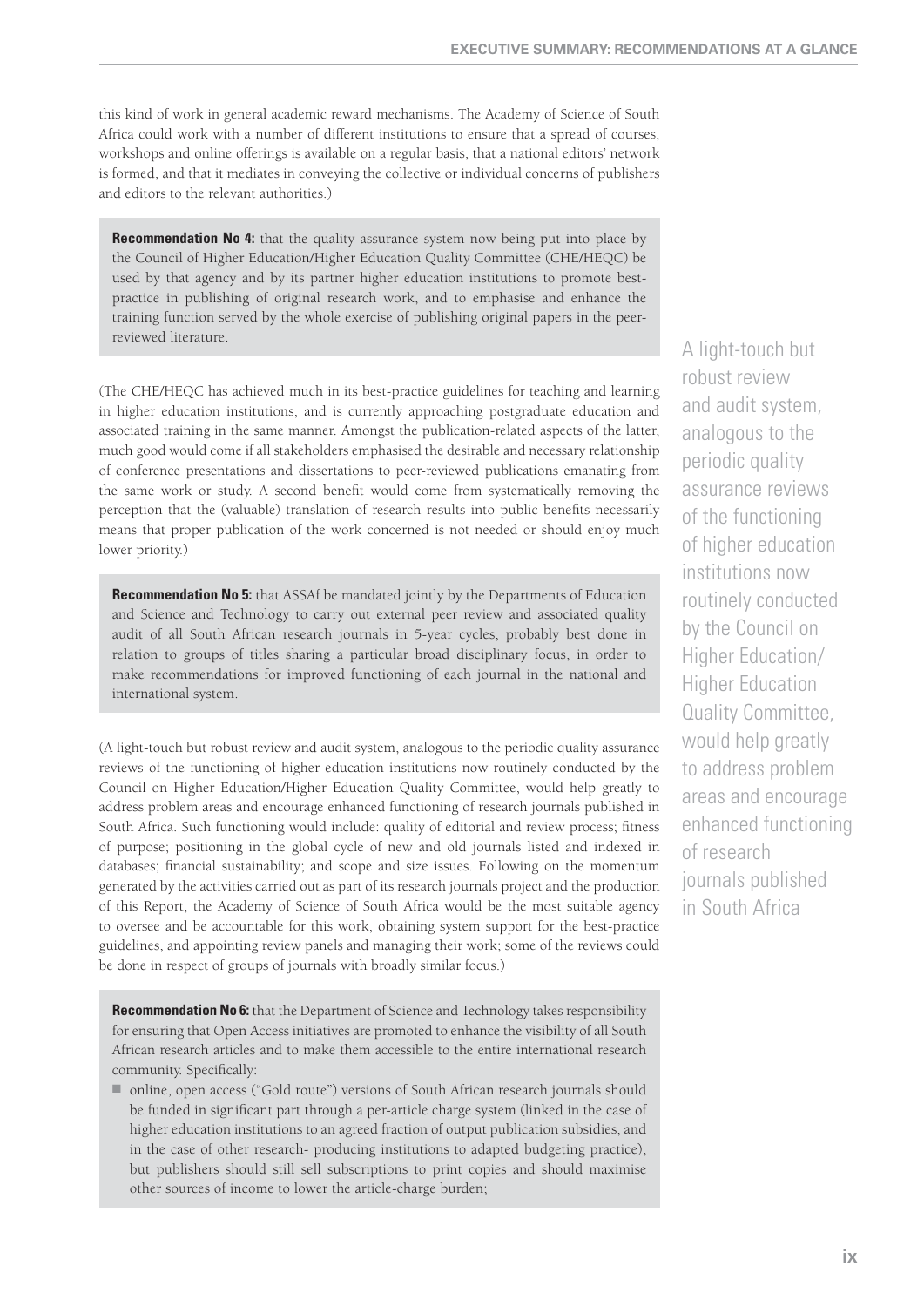this kind of work in general academic reward mechanisms. The Academy of Science of South Africa could work with a number of different institutions to ensure that a spread of courses, workshops and online offerings is available on a regular basis, that a national editors' network is formed, and that it mediates in conveying the collective or individual concerns of publishers and editors to the relevant authorities.)

**Recommendation No 4:** that the quality assurance system now being put into place by the Council of Higher Education/Higher Education Quality Committee (CHE/HEQC) be used by that agency and by its partner higher education institutions to promote bestpractice in publishing of original research work, and to emphasise and enhance the training function served by the whole exercise of publishing original papers in the peerreviewed literature.

(The CHE/HEQC has achieved much in its best-practice guidelines for teaching and learning in higher education institutions, and is currently approaching postgraduate education and associated training in the same manner. Amongst the publication-related aspects of the latter, much good would come if all stakeholders emphasised the desirable and necessary relationship of conference presentations and dissertations to peer-reviewed publications emanating from the same work or study. A second benefit would come from systematically removing the perception that the (valuable) translation of research results into public benefits necessarily means that proper publication of the work concerned is not needed or should enjoy much lower priority.)

**Recommendation No 5:** that ASSAf be mandated jointly by the Departments of Education and Science and Technology to carry out external peer review and associated quality audit of all South African research journals in 5-year cycles, probably best done in relation to groups of titles sharing a particular broad disciplinary focus, in order to make recommendations for improved functioning of each journal in the national and international system.

(A light-touch but robust review and audit system, analogous to the periodic quality assurance reviews of the functioning of higher education institutions now routinely conducted by the Council on Higher Education/Higher Education Quality Committee, would help greatly to address problem areas and encourage enhanced functioning of research journals published in South Africa. Such functioning would include: quality of editorial and review process; fitness of purpose; positioning in the global cycle of new and old journals listed and indexed in databases; financial sustainability; and scope and size issues. Following on the momentum generated by the activities carried out as part of its research journals project and the production of this Report, the Academy of Science of South Africa would be the most suitable agency to oversee and be accountable for this work, obtaining system support for the best-practice guidelines, and appointing review panels and managing their work; some of the reviews could be done in respect of groups of journals with broadly similar focus.)

**Recommendation No 6:** that the Department of Science and Technology takes responsibility for ensuring that Open Access initiatives are promoted to enhance the visibility of all South African research articles and to make them accessible to the entire international research community. Specifically:

■ online, open access ("Gold route") versions of South African research journals should be funded in significant part through a per-article charge system (linked in the case of higher education institutions to an agreed fraction of output publication subsidies, and in the case of other research- producing institutions to adapted budgeting practice), but publishers should still sell subscriptions to print copies and should maximise other sources of income to lower the article-charge burden;

A light-touch but robust review and audit system, analogous to the periodic quality assurance reviews of the functioning of higher education institutions now routinely conducted by the Council on Higher Education/ Higher Education Quality Committee, would help greatly to address problem areas and encourage enhanced functioning of research journals published in South Africa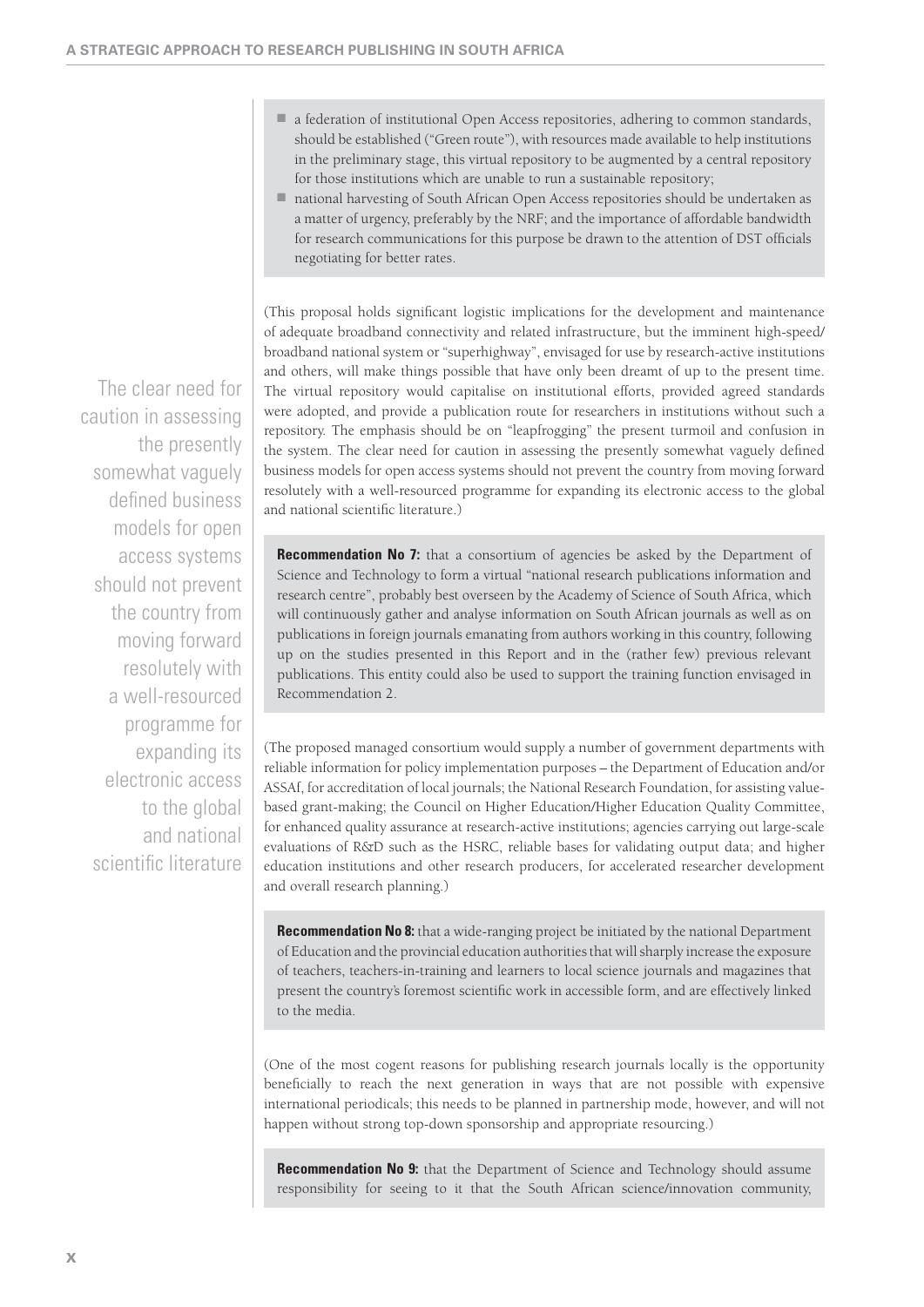- a federation of institutional Open Access repositories, adhering to common standards, should be established ("Green route"), with resources made available to help institutions in the preliminary stage, this virtual repository to be augmented by a central repository for those institutions which are unable to run a sustainable repository;
- national harvesting of South African Open Access repositories should be undertaken as a matter of urgency, preferably by the NRF; and the importance of affordable bandwidth for research communications for this purpose be drawn to the attention of DST officials negotiating for better rates.

(This proposal holds significant logistic implications for the development and maintenance of adequate broadband connectivity and related infrastructure, but the imminent high-speed/ broadband national system or "superhighway", envisaged for use by research-active institutions and others, will make things possible that have only been dreamt of up to the present time. The virtual repository would capitalise on institutional efforts, provided agreed standards were adopted, and provide a publication route for researchers in institutions without such a repository. The emphasis should be on "leapfrogging" the present turmoil and confusion in the system. The clear need for caution in assessing the presently somewhat vaguely defined business models for open access systems should not prevent the country from moving forward resolutely with a well-resourced programme for expanding its electronic access to the global and national scientific literature.)

**Recommendation No 7:** that a consortium of agencies be asked by the Department of Science and Technology to form a virtual "national research publications information and research centre", probably best overseen by the Academy of Science of South Africa, which will continuously gather and analyse information on South African journals as well as on publications in foreign journals emanating from authors working in this country, following up on the studies presented in this Report and in the (rather few) previous relevant publications. This entity could also be used to support the training function envisaged in Recommendation 2.

(The proposed managed consortium would supply a number of government departments with reliable information for policy implementation purposes – the Department of Education and/or ASSAf, for accreditation of local journals; the National Research Foundation, for assisting valuebased grant-making; the Council on Higher Education/Higher Education Quality Committee, for enhanced quality assurance at research-active institutions; agencies carrying out large-scale evaluations of R&D such as the HSRC, reliable bases for validating output data; and higher education institutions and other research producers, for accelerated researcher development and overall research planning.)

**Recommendation No 8:** that a wide-ranging project be initiated by the national Department of Education and the provincial education authorities that will sharply increase the exposure of teachers, teachers-in-training and learners to local science journals and magazines that present the country's foremost scientific work in accessible form, and are effectively linked to the media.

(One of the most cogent reasons for publishing research journals locally is the opportunity benefi cially to reach the next generation in ways that are not possible with expensive international periodicals; this needs to be planned in partnership mode, however, and will not happen without strong top-down sponsorship and appropriate resourcing.)

**Recommendation No 9:** that the Department of Science and Technology should assume responsibility for seeing to it that the South African science/innovation community,

The clear need for caution in assessing the presently somewhat vaguely defined business models for open access systems should not prevent the country from moving forward resolutely with a well-resourced programme for expanding its electronic access to the global and national scientific literature